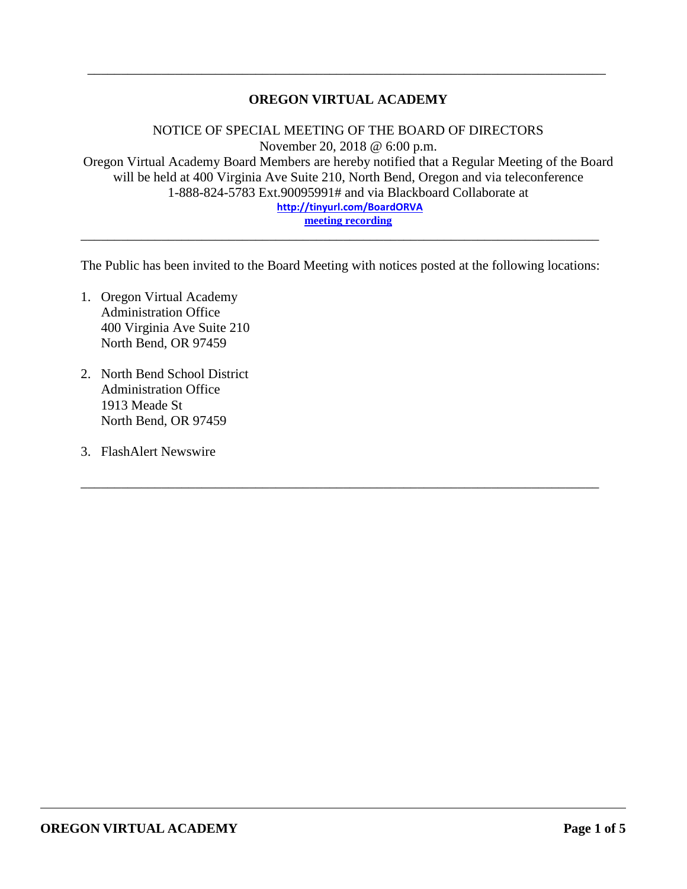## **OREGON VIRTUAL ACADEMY**

\_\_\_\_\_\_\_\_\_\_\_\_\_\_\_\_\_\_\_\_\_\_\_\_\_\_\_\_\_\_\_\_\_\_\_\_\_\_\_\_\_\_\_\_\_\_\_\_\_\_\_\_\_\_\_\_\_\_\_\_\_\_\_\_\_\_\_\_\_\_\_\_\_\_\_\_\_

NOTICE OF SPECIAL MEETING OF THE BOARD OF DIRECTORS November 20, 2018 @ 6:00 p.m. Oregon Virtual Academy Board Members are hereby notified that a Regular Meeting of the Board will be held at 400 Virginia Ave Suite 210, North Bend, Oregon and via teleconference 1-888-824-5783 Ext.90095991# and via Blackboard Collaborate at **<http://tinyurl.com/BoardORVA> [meeting recording](https://sas.elluminate.com/site/external/launch/nativeplayback.jnlp?sid=559&psid=2018-11-20.1846.M.4BD84C2E38819C8D07E06941AC5558.vcr)**

The Public has been invited to the Board Meeting with notices posted at the following locations:

\_\_\_\_\_\_\_\_\_\_\_\_\_\_\_\_\_\_\_\_\_\_\_\_\_\_\_\_\_\_\_\_\_\_\_\_\_\_\_\_\_\_\_\_\_\_\_\_\_\_\_\_\_\_\_\_\_\_\_\_\_\_\_\_\_\_\_\_\_\_\_\_\_\_\_\_\_

\_\_\_\_\_\_\_\_\_\_\_\_\_\_\_\_\_\_\_\_\_\_\_\_\_\_\_\_\_\_\_\_\_\_\_\_\_\_\_\_\_\_\_\_\_\_\_\_\_\_\_\_\_\_\_\_\_\_\_\_\_\_\_\_\_\_\_\_\_\_\_\_\_\_\_\_\_

- 1. Oregon Virtual Academy Administration Office 400 Virginia Ave Suite 210 North Bend, OR 97459
- 2. North Bend School District Administration Office 1913 Meade St North Bend, OR 97459
- 3. FlashAlert Newswire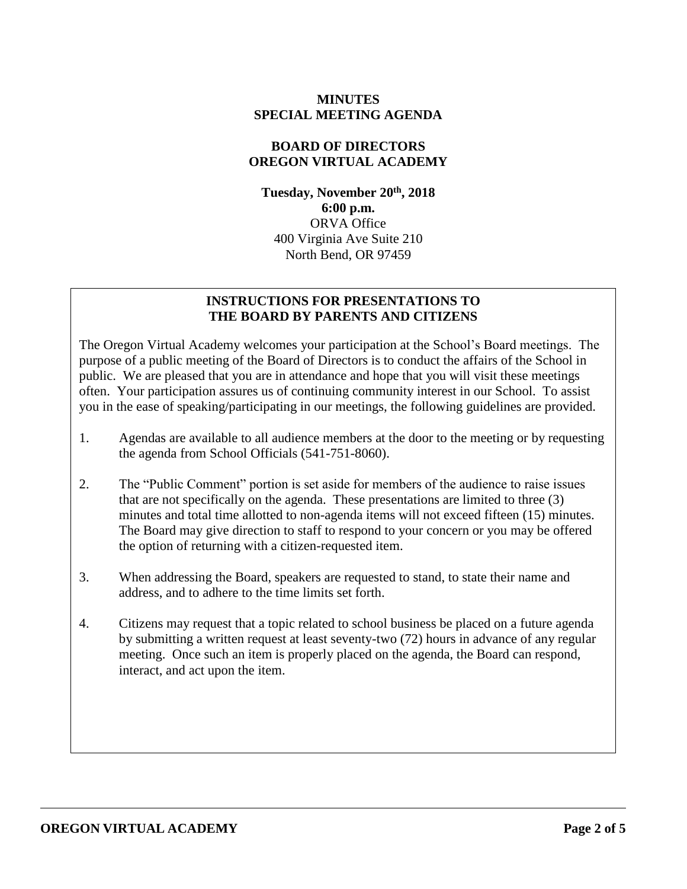### **MINUTES SPECIAL MEETING AGENDA**

#### **BOARD OF DIRECTORS OREGON VIRTUAL ACADEMY**

**Tuesday, November 20th , 2018 6:00 p.m.** ORVA Office 400 Virginia Ave Suite 210 North Bend, OR 97459

### **INSTRUCTIONS FOR PRESENTATIONS TO THE BOARD BY PARENTS AND CITIZENS**

The Oregon Virtual Academy welcomes your participation at the School's Board meetings. The purpose of a public meeting of the Board of Directors is to conduct the affairs of the School in public. We are pleased that you are in attendance and hope that you will visit these meetings often. Your participation assures us of continuing community interest in our School. To assist you in the ease of speaking/participating in our meetings, the following guidelines are provided.

- 1. Agendas are available to all audience members at the door to the meeting or by requesting the agenda from School Officials (541-751-8060).
- 2. The "Public Comment" portion is set aside for members of the audience to raise issues that are not specifically on the agenda. These presentations are limited to three (3) minutes and total time allotted to non-agenda items will not exceed fifteen (15) minutes. The Board may give direction to staff to respond to your concern or you may be offered the option of returning with a citizen-requested item.
- 3. When addressing the Board, speakers are requested to stand, to state their name and address, and to adhere to the time limits set forth.
- 4. Citizens may request that a topic related to school business be placed on a future agenda by submitting a written request at least seventy-two (72) hours in advance of any regular meeting. Once such an item is properly placed on the agenda, the Board can respond, interact, and act upon the item.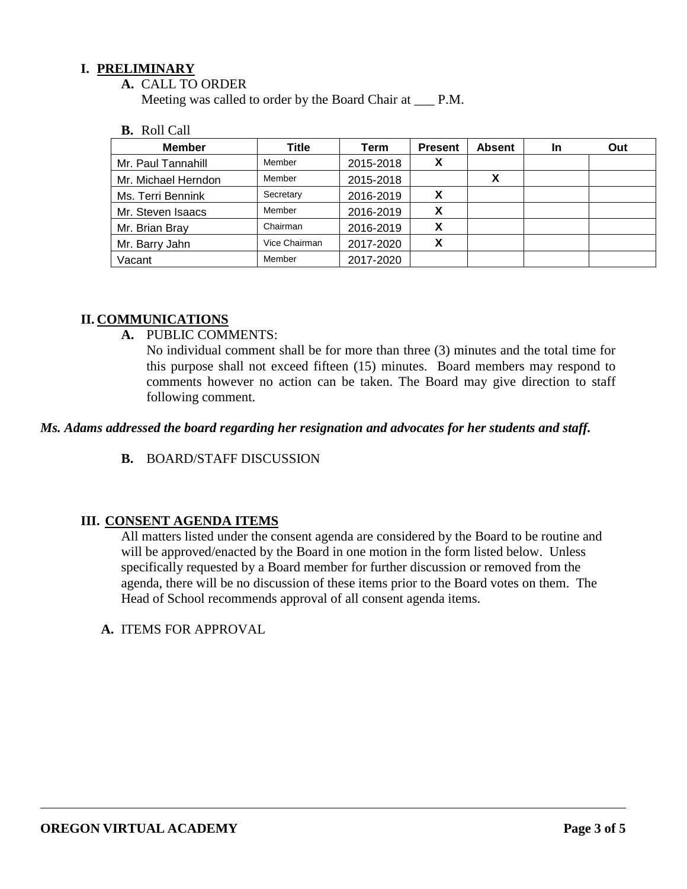## **I. PRELIMINARY**

**A.** CALL TO ORDER

Meeting was called to order by the Board Chair at \_\_\_ P.M.

#### **B.** Roll Call

| <b>Member</b>       | <b>Title</b>  | Term      | <b>Present</b> | <b>Absent</b> | In | Out |
|---------------------|---------------|-----------|----------------|---------------|----|-----|
| Mr. Paul Tannahill  | Member        | 2015-2018 | v<br>$\lambda$ |               |    |     |
| Mr. Michael Herndon | Member        | 2015-2018 |                |               |    |     |
| Ms. Terri Bennink   | Secretary     | 2016-2019 | X              |               |    |     |
| Mr. Steven Isaacs   | Member        | 2016-2019 | x              |               |    |     |
| Mr. Brian Bray      | Chairman      | 2016-2019 | X              |               |    |     |
| Mr. Barry Jahn      | Vice Chairman | 2017-2020 | X              |               |    |     |
| Vacant              | Member        | 2017-2020 |                |               |    |     |

## **II. COMMUNICATIONS**

**A.** PUBLIC COMMENTS:

No individual comment shall be for more than three (3) minutes and the total time for this purpose shall not exceed fifteen (15) minutes. Board members may respond to comments however no action can be taken. The Board may give direction to staff following comment.

### *Ms. Adams addressed the board regarding her resignation and advocates for her students and staff.*

**B.** BOARD/STAFF DISCUSSION

### **III. CONSENT AGENDA ITEMS**

All matters listed under the consent agenda are considered by the Board to be routine and will be approved/enacted by the Board in one motion in the form listed below. Unless specifically requested by a Board member for further discussion or removed from the agenda, there will be no discussion of these items prior to the Board votes on them. The Head of School recommends approval of all consent agenda items.

**A.** ITEMS FOR APPROVAL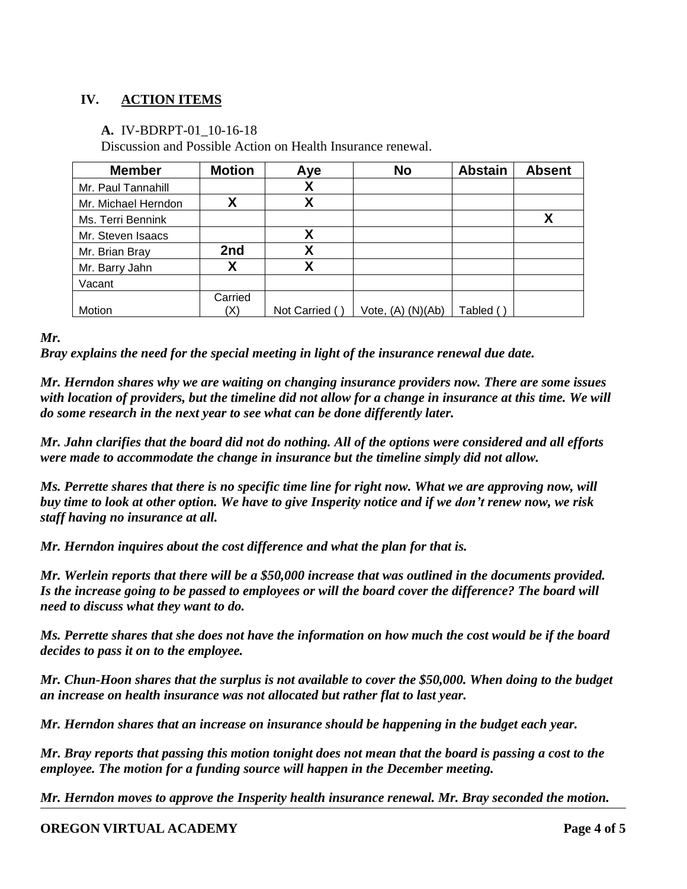# **IV. ACTION ITEMS**

## **A.** IV-BDRPT-01\_10-16-18

Discussion and Possible Action on Health Insurance renewal.

| <b>Member</b>       | <b>Motion</b> | Aye           | <b>No</b>             | <b>Abstain</b> | <b>Absent</b> |
|---------------------|---------------|---------------|-----------------------|----------------|---------------|
| Mr. Paul Tannahill  |               | χ             |                       |                |               |
| Mr. Michael Herndon | χ             | Χ             |                       |                |               |
| Ms. Terri Bennink   |               |               |                       |                | χ             |
| Mr. Steven Isaacs   |               | Χ             |                       |                |               |
| Mr. Brian Bray      | 2nd           | X             |                       |                |               |
| Mr. Barry Jahn      |               | Χ             |                       |                |               |
| Vacant              |               |               |                       |                |               |
|                     | Carried       |               |                       |                |               |
| Motion              |               | Not Carried ( | Vote, $(A)$ $(N)(Ab)$ | Tabled         |               |

*Mr.* 

*Bray explains the need for the special meeting in light of the insurance renewal due date.*

*Mr. Herndon shares why we are waiting on changing insurance providers now. There are some issues with location of providers, but the timeline did not allow for a change in insurance at this time. We will do some research in the next year to see what can be done differently later.* 

*Mr. Jahn clarifies that the board did not do nothing. All of the options were considered and all efforts were made to accommodate the change in insurance but the timeline simply did not allow.* 

*Ms. Perrette shares that there is no specific time line for right now. What we are approving now, will buy time to look at other option. We have to give Insperity notice and if we don't renew now, we risk staff having no insurance at all.* 

*Mr. Herndon inquires about the cost difference and what the plan for that is.*

*Mr. Werlein reports that there will be a \$50,000 increase that was outlined in the documents provided. Is the increase going to be passed to employees or will the board cover the difference? The board will need to discuss what they want to do.*

*Ms. Perrette shares that she does not have the information on how much the cost would be if the board decides to pass it on to the employee.*

*Mr. Chun-Hoon shares that the surplus is not available to cover the \$50,000. When doing to the budget an increase on health insurance was not allocated but rather flat to last year.*

*Mr. Herndon shares that an increase on insurance should be happening in the budget each year.*

*Mr. Bray reports that passing this motion tonight does not mean that the board is passing a cost to the employee. The motion for a funding source will happen in the December meeting.*

*Mr. Herndon moves to approve the Insperity health insurance renewal. Mr. Bray seconded the motion.* 

### **OREGON VIRTUAL ACADEMY Page 4 of 5**